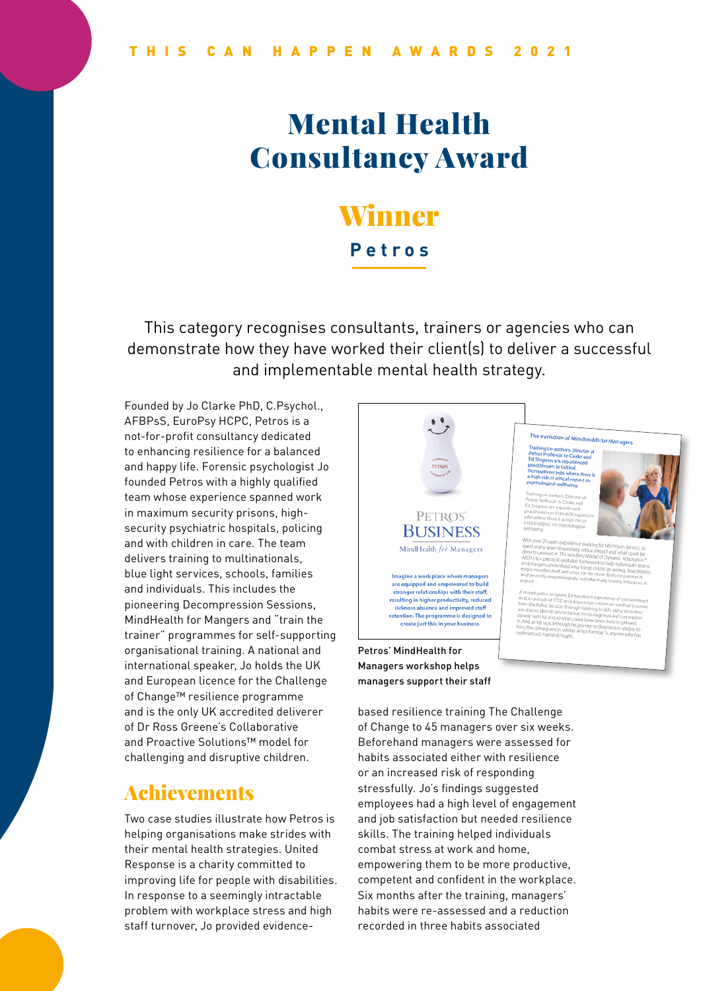# Mental Health Consultancy Award

# Winner **Petros**

This category recognises consultants, trainers or agencies who can demonstrate how they have worked their client(s) to deliver a successful and implementable mental health strategy.

Founded by Jo Clarke PhD, C.Psychol., AFBPsS, EuroPsy HCPC, Petros is a not-for-profit consultancy dedicated to enhancing resilience for a balanced and happy life. Forensic psychologist Jo founded Petros with a highly qualified team whose experience spanned work in maximum security prisons, highsecurity psychiatric hospitals, policing and with children in care. The team delivers training to multinationals, blue light services, schools, families and individuals. This includes the pioneering Decompression Sessions, MindHealth for Mangers and "train the trainer" programmes for self-supporting organisational training. A national and international speaker, Jo holds the UK and European licence for the Challenge of Change™ resilience programme and is the only UK accredited deliverer of Dr Ross Greene's Collaborative and Proactive Solutions™ model for challenging and disruptive children.

### Achievements

Two case studies illustrate how Petros is helping organisations make strides with their mental health strategies. United Response is a charity committed to improving life for people with disabilities. In response to a seemingly intractable problem with workplace stress and high staff turnover, Jo provided evidence-



based resilience training The Challenge of Change to 45 managers over six weeks. Beforehand managers were assessed for habits associated either with resilience or an increased risk of responding stressfully. Jo's findings suggested employees had a high level of engagement and job satisfaction but needed resilience skills. The training helped individuals combat stress at work and home, empowering them to be more productive, competent and confident in the workplace. Six months after the training, managers' habits were re-assessed and a reduction recorded in three habits associated